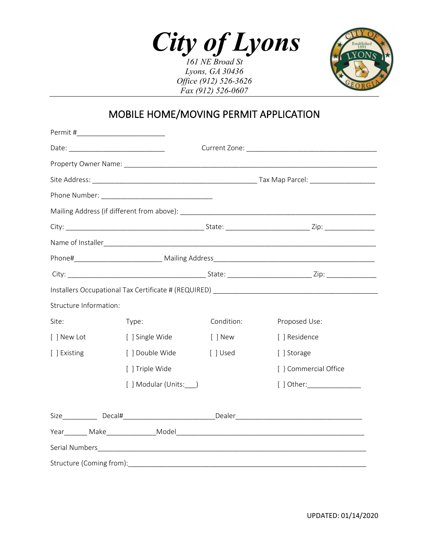*City of Lyons 161 NE Broad St*

*Lyons, GA 30436 Office (912) 526-3626 Fax (912) 526-0607*



### MOBILE HOME/MOVING PERMIT APPLICATION

| Structure Information: |                       |            |                       |  |  |
|------------------------|-----------------------|------------|-----------------------|--|--|
| Site:                  | Type:                 | Condition: | Proposed Use:         |  |  |
| [ ] New Lot            | [ ] Single Wide       | [ ] New    | [ ] Residence         |  |  |
| [ ] Existing           | [ ] Double Wide       | [ ] Used   | [ ] Storage           |  |  |
|                        | [ ] Triple Wide       |            | [ } Commercial Office |  |  |
|                        | [ ] Modular (Units: ) |            | $[$ ] Other:          |  |  |
|                        |                       |            |                       |  |  |
|                        |                       |            |                       |  |  |
|                        |                       |            |                       |  |  |
|                        |                       |            |                       |  |  |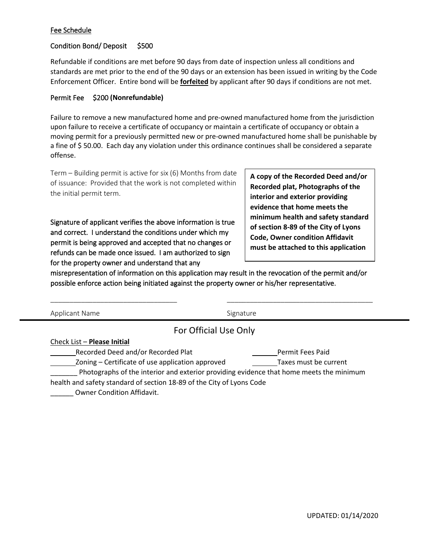#### Fee Schedule

### Condition Bond/ Deposit \$500

Refundable if conditions are met before 90 days from date of inspection unless all conditions and standards are met prior to the end of the 90 days or an extension has been issued in writing by the Code Enforcement Officer. Entire bond will be **forfeited** by applicant after 90 days if conditions are not met.

#### Permit Fee \$200 **(Nonrefundable)**

Failure to remove a new manufactured home and pre-owned manufactured home from the jurisdiction upon failure to receive a certificate of occupancy or maintain a certificate of occupancy or obtain a moving permit for a previously permitted new or pre-owned manufactured home shall be punishable by a fine of \$ 50.00. Each day any violation under this ordinance continues shall be considered a separate offense.

Term – Building permit is active for six (6) Months from date of issuance: Provided that the work is not completed within the initial permit term.

Signature of applicant verifies the above information is true and correct. I understand the conditions under which my permit is being approved and accepted that no changes or refunds can be made once issued. I am authorized to sign for the property owner and understand that any

**A copy of the Recorded Deed and/or Recorded plat, Photographs of the interior and exterior providing evidence that home meets the minimum health and safety standard of section 8-89 of the City of Lyons Code, Owner condition Affidavit must be attached to this application**

misrepresentation of information on this application may result in the revocation of the permit and/or possible enforce action being initiated against the property owner or his/her representative.

\_\_\_\_\_\_\_\_\_\_\_\_\_\_\_\_\_\_\_\_\_\_\_\_\_\_\_\_\_\_\_\_\_ \_\_\_\_\_\_\_\_\_\_\_\_\_\_\_\_\_\_\_\_\_\_\_\_\_\_\_\_\_\_\_\_\_\_\_\_\_\_

| Applicant Name                                                                          | Signature             |  |  |  |
|-----------------------------------------------------------------------------------------|-----------------------|--|--|--|
| For Official Use Only                                                                   |                       |  |  |  |
| Check List - Please Initial                                                             |                       |  |  |  |
| Recorded Deed and/or Recorded Plat                                                      | Permit Fees Paid      |  |  |  |
| Zoning - Certificate of use application approved                                        | Taxes must be current |  |  |  |
| Photographs of the interior and exterior providing evidence that home meets the minimum |                       |  |  |  |
| health and safety standard of section 18-89 of the City of Lyons Code                   |                       |  |  |  |
| Owner Condition Affidavit.                                                              |                       |  |  |  |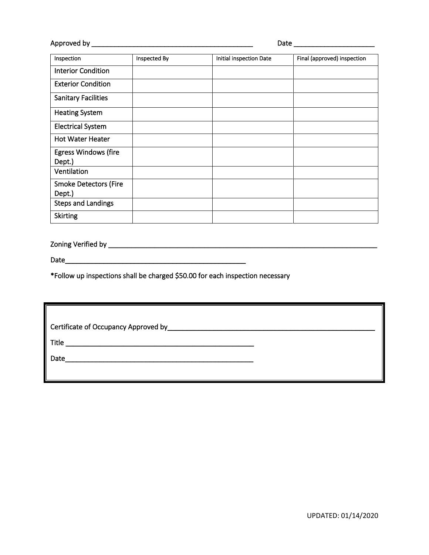Approved by \_\_\_\_\_\_\_\_\_\_\_\_\_\_\_\_\_\_\_\_\_\_\_\_\_\_\_\_\_\_\_\_\_\_\_\_\_\_\_\_\_\_ Date \_\_\_\_\_\_\_\_\_\_\_\_\_\_\_\_\_\_\_\_\_

| Inspection                   | Inspected By | Initial inspection Date | Final (approved) inspection |
|------------------------------|--------------|-------------------------|-----------------------------|
| <b>Interior Condition</b>    |              |                         |                             |
| <b>Exterior Condition</b>    |              |                         |                             |
| <b>Sanitary Facilities</b>   |              |                         |                             |
| <b>Heating System</b>        |              |                         |                             |
| <b>Electrical System</b>     |              |                         |                             |
| <b>Hot Water Heater</b>      |              |                         |                             |
| <b>Egress Windows (fire</b>  |              |                         |                             |
| Dept.)                       |              |                         |                             |
| Ventilation                  |              |                         |                             |
| <b>Smoke Detectors (Fire</b> |              |                         |                             |
| Dept.)                       |              |                         |                             |
| <b>Steps and Landings</b>    |              |                         |                             |
| <b>Skirting</b>              |              |                         |                             |

Zoning Verified by \_\_\_\_\_\_\_\_\_\_\_\_\_\_\_\_\_\_\_\_\_\_\_\_\_\_\_\_\_\_\_\_\_\_\_\_\_\_\_\_\_\_\_\_\_\_\_\_\_\_\_\_\_\_\_\_\_\_\_\_\_\_\_\_\_\_\_\_\_\_

Date\_\_\_\_\_\_\_\_\_\_\_\_\_\_\_\_\_\_\_\_\_\_\_\_\_\_\_\_\_\_\_\_\_\_\_\_\_\_\_\_\_\_\_\_\_\_\_

 $\overline{\phantom{a}}$ 

\*Follow up inspections shall be charged \$50.00 for each inspection necessary

| Certificate of Occupancy Approved by_ |  |  |  |  |
|---------------------------------------|--|--|--|--|
|                                       |  |  |  |  |
|                                       |  |  |  |  |
|                                       |  |  |  |  |
|                                       |  |  |  |  |

 $\overline{\phantom{a}}$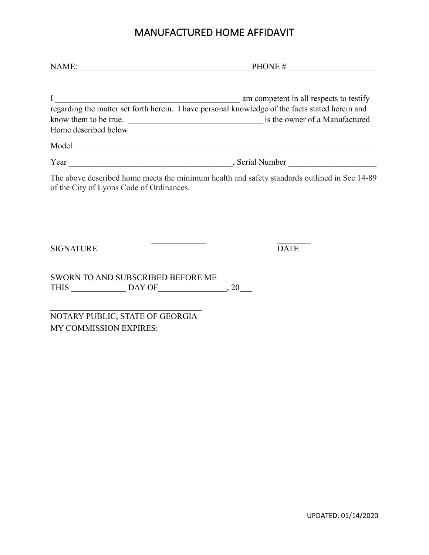### MANUFACTURED HOME AFFIDAVIT

| NAME: $PHONE #$                                                                                                                                                      |             |  |
|----------------------------------------------------------------------------------------------------------------------------------------------------------------------|-------------|--|
| I am competent in all respects to testify<br>regarding the matter set forth herein. I have personal knowledge of the facts stated herein and<br>Home described below |             |  |
|                                                                                                                                                                      |             |  |
|                                                                                                                                                                      |             |  |
| The above described home meets the minimum health and safety standards outlined in Sec 14-89<br>of the City of Lyons Code of Ordinances.                             |             |  |
| <b>SIGNATURE</b>                                                                                                                                                     | <b>DATE</b> |  |
| <b>SWORN TO AND SUBSCRIBED BEFORE ME</b>                                                                                                                             |             |  |
| NOTARY PUBLIC, STATE OF GEORGIA                                                                                                                                      |             |  |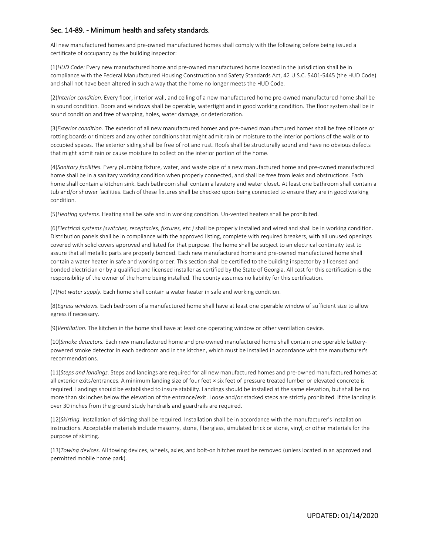#### Sec. 14-89. - Minimum health and safety standards.

All new manufactured homes and pre-owned manufactured homes shall comply with the following before being issued a certificate of occupancy by the building inspector:

(1)*HUD Code:* Every new manufactured home and pre-owned manufactured home located in the jurisdiction shall be in compliance with the Federal Manufactured Housing Construction and Safety Standards Act, 42 U.S.C. 5401-5445 (the HUD Code) and shall not have been altered in such a way that the home no longer meets the HUD Code.

(2)*Interior condition.* Every floor, interior wall, and ceiling of a new manufactured home pre-owned manufactured home shall be in sound condition. Doors and windows shall be operable, watertight and in good working condition. The floor system shall be in sound condition and free of warping, holes, water damage, or deterioration.

(3)*Exterior condition.* The exterior of all new manufactured homes and pre-owned manufactured homes shall be free of loose or rotting boards or timbers and any other conditions that might admit rain or moisture to the interior portions of the walls or to occupied spaces. The exterior siding shall be free of rot and rust. Roofs shall be structurally sound and have no obvious defects that might admit rain or cause moisture to collect on the interior portion of the home.

(4)*Sanitary facilities.* Every plumbing fixture, water, and waste pipe of a new manufactured home and pre-owned manufactured home shall be in a sanitary working condition when properly connected, and shall be free from leaks and obstructions. Each home shall contain a kitchen sink. Each bathroom shall contain a lavatory and water closet. At least one bathroom shall contain a tub and/or shower facilities. Each of these fixtures shall be checked upon being connected to ensure they are in good working condition.

(5)*Heating systems.* Heating shall be safe and in working condition. Un-vented heaters shall be prohibited.

(6)*Electrical systems (switches, receptacles, fixtures, etc.)* shall be properly installed and wired and shall be in working condition. Distribution panels shall be in compliance with the approved listing, complete with required breakers, with all unused openings covered with solid covers approved and listed for that purpose. The home shall be subject to an electrical continuity test to assure that all metallic parts are properly bonded. Each new manufactured home and pre-owned manufactured home shall contain a water heater in safe and working order. This section shall be certified to the building inspector by a licensed and bonded electrician or by a qualified and licensed installer as certified by the State of Georgia. All cost for this certification is the responsibility of the owner of the home being installed. The county assumes no liability for this certification.

(7)*Hot water supply.* Each home shall contain a water heater in safe and working condition.

(8)*Egress windows.* Each bedroom of a manufactured home shall have at least one operable window of sufficient size to allow egress if necessary.

(9)*Ventilation.* The kitchen in the home shall have at least one operating window or other ventilation device.

(10)*Smoke detectors.* Each new manufactured home and pre-owned manufactured home shall contain one operable batterypowered smoke detector in each bedroom and in the kitchen, which must be installed in accordance with the manufacturer's recommendations.

(11)*Steps and landings.* Steps and landings are required for all new manufactured homes and pre-owned manufactured homes at all exterior exits/entrances. A minimum landing size of four feet × six feet of pressure treated lumber or elevated concrete is required. Landings should be established to insure stability. Landings should be installed at the same elevation, but shall be no more than six inches below the elevation of the entrance/exit. Loose and/or stacked steps are strictly prohibited. If the landing is over 30 inches from the ground study handrails and guardrails are required.

(12)*Skirting.* Installation of skirting shall be required. Installation shall be in accordance with the manufacturer's installation instructions. Acceptable materials include masonry, stone, fiberglass, simulated brick or stone, vinyl, or other materials for the purpose of skirting.

(13)*Towing devices.* All towing devices, wheels, axles, and bolt-on hitches must be removed (unless located in an approved and permitted mobile home park).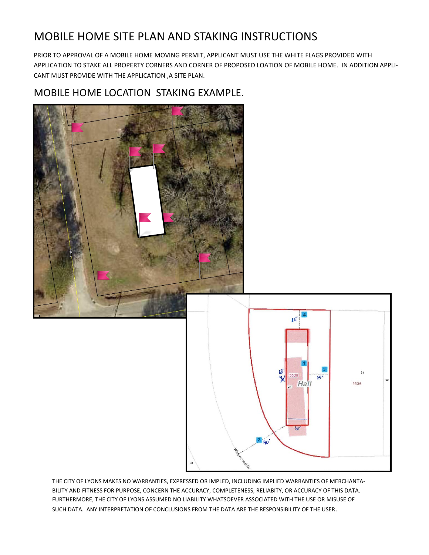# MOBILE HOME SITE PLAN AND STAKING INSTRUCTIONS

PRIOR TO APPROVAL OF A MOBILE HOME MOVING PERMIT, APPLICANT MUST USE THE WHITE FLAGS PROVIDED WITH APPLICATION TO STAKE ALL PROPERTY CORNERS AND CORNER OF PROPOSED LOATION OF MOBILE HOME. IN ADDITION APPLI-CANT MUST PROVIDE WITH THE APPLICATION ,A SITE PLAN.

### MOBILE HOME LOCATION STAKING EXAMPLE.



THE CITY OF LYONS MAKES NO WARRANTIES, EXPRESSED OR IMPLED, INCLUDING IMPLIED WARRANTIES OF MERCHANTA-BILITY AND FITNESS FOR PURPOSE, CONCERN THE ACCURACY, COMPLETENESS, RELIABITY, OR ACCURACY OF THIS DATA. FURTHERMORE, THE CITY OF LYONS ASSUMED NO LIABILITY WHATSOEVER ASSOCIATED WITH THE USE OR MISUSE OF SUCH DATA. ANY INTERPRETATION OF CONCLUSIONS FROM THE DATA ARE THE RESPONSIBILITY OF THE USER.